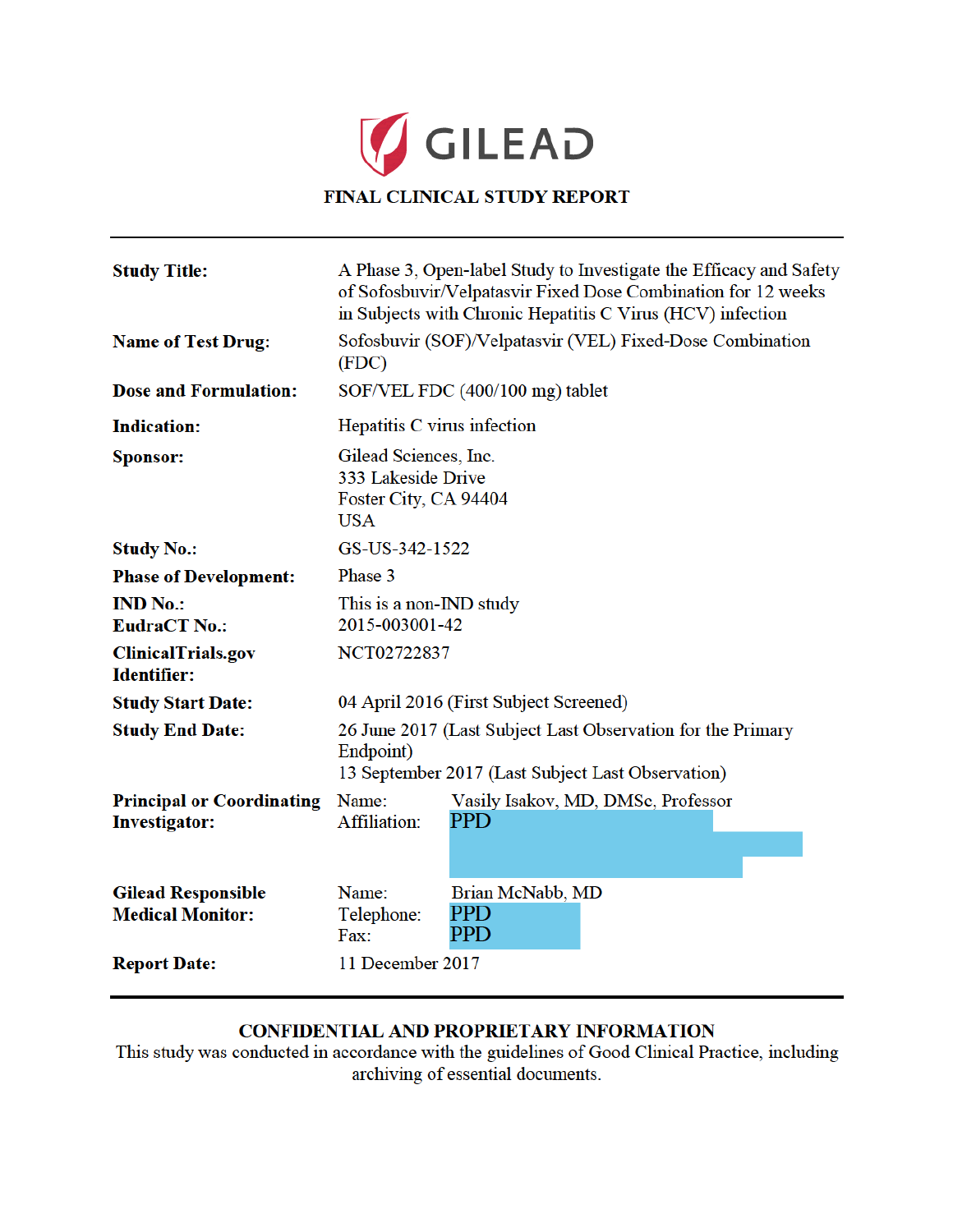

| <b>Study Title:</b>                                      | A Phase 3, Open-label Study to Investigate the Efficacy and Safety<br>of Sofosbuvir/Velpatasvir Fixed Dose Combination for 12 weeks<br>in Subjects with Chronic Hepatitis C Virus (HCV) infection |                                           |
|----------------------------------------------------------|---------------------------------------------------------------------------------------------------------------------------------------------------------------------------------------------------|-------------------------------------------|
| <b>Name of Test Drug:</b>                                | Sofosbuvir (SOF)/Velpatasvir (VEL) Fixed-Dose Combination<br>(FDC)                                                                                                                                |                                           |
| <b>Dose and Formulation:</b>                             | SOF/VEL FDC (400/100 mg) tablet                                                                                                                                                                   |                                           |
| <b>Indication:</b>                                       | Hepatitis C virus infection                                                                                                                                                                       |                                           |
| Sponsor:                                                 | Gilead Sciences, Inc.<br>333 Lakeside Drive<br>Foster City, CA 94404<br><b>USA</b>                                                                                                                |                                           |
| <b>Study No.:</b>                                        | GS-US-342-1522                                                                                                                                                                                    |                                           |
| <b>Phase of Development:</b>                             | Phase 3                                                                                                                                                                                           |                                           |
| <b>IND No.:</b><br><b>EudraCT No.:</b>                   | This is a non-IND study<br>2015-003001-42                                                                                                                                                         |                                           |
| ClinicalTrials.gov<br><b>Identifier:</b>                 | NCT02722837                                                                                                                                                                                       |                                           |
| <b>Study Start Date:</b>                                 | 04 April 2016 (First Subject Screened)                                                                                                                                                            |                                           |
| <b>Study End Date:</b>                                   | 26 June 2017 (Last Subject Last Observation for the Primary<br>Endpoint)<br>13 September 2017 (Last Subject Last Observation)                                                                     |                                           |
| <b>Principal or Coordinating</b><br><b>Investigator:</b> | Name:<br>Affiliation:                                                                                                                                                                             | Vasily Isakov, MD, DMSc, Professor<br>PPD |
| <b>Gilead Responsible</b><br><b>Medical Monitor:</b>     | Name:<br>Telephone:<br>Fax:                                                                                                                                                                       | Brian McNabb, MD<br>PPD<br><b>PPD</b>     |
| <b>Report Date:</b>                                      | 11 December 2017                                                                                                                                                                                  |                                           |

# CONFIDENTIAL AND PROPRIETARY INFORMATION

This study was conducted in accordance with the guidelines of Good Clinical Practice, including archiving of essential documents.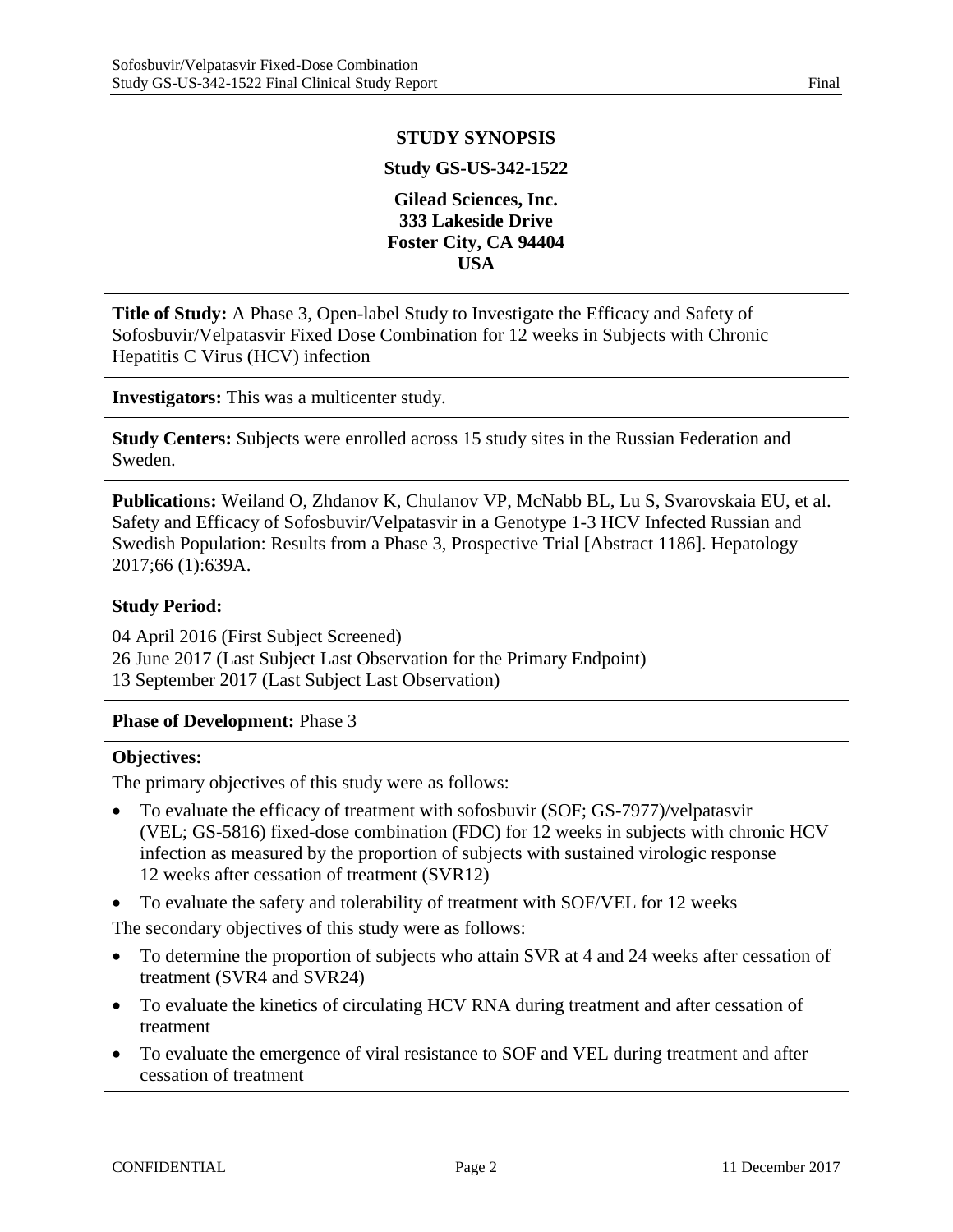## **STUDY SYNOPSIS**

### **Study GS-US-342-1522**

### **Gilead Sciences, Inc. 333 Lakeside Drive Foster City, CA 94404 USA**

**Title of Study:** A Phase 3, Open-label Study to Investigate the Efficacy and Safety of Sofosbuvir/Velpatasvir Fixed Dose Combination for 12 weeks in Subjects with Chronic Hepatitis C Virus (HCV) infection

**Investigators:** This was a multicenter study.

**Study Centers:** Subjects were enrolled across 15 study sites in the Russian Federation and Sweden.

**Publications:** Weiland O, Zhdanov K, Chulanov VP, McNabb BL, Lu S, Svarovskaia EU, et al. Safety and Efficacy of Sofosbuvir/Velpatasvir in a Genotype 1-3 HCV Infected Russian and Swedish Population: Results from a Phase 3, Prospective Trial [Abstract 1186]. Hepatology 2017;66 (1):639A.

## **Study Period:**

04 April 2016 (First Subject Screened) 26 June 2017 (Last Subject Last Observation for the Primary Endpoint) 13 September 2017 (Last Subject Last Observation)

**Phase of Development:** Phase 3

#### **Objectives:**

The primary objectives of this study were as follows:

- To evaluate the efficacy of treatment with sofosbuvir (SOF; GS-7977)/velpatasvir (VEL; GS-5816) fixed-dose combination (FDC) for 12 weeks in subjects with chronic HCV infection as measured by the proportion of subjects with sustained virologic response 12 weeks after cessation of treatment (SVR12)
- To evaluate the safety and tolerability of treatment with SOF/VEL for 12 weeks

The secondary objectives of this study were as follows:

- To determine the proportion of subjects who attain SVR at 4 and 24 weeks after cessation of treatment (SVR4 and SVR24)
- To evaluate the kinetics of circulating HCV RNA during treatment and after cessation of treatment
- To evaluate the emergence of viral resistance to SOF and VEL during treatment and after cessation of treatment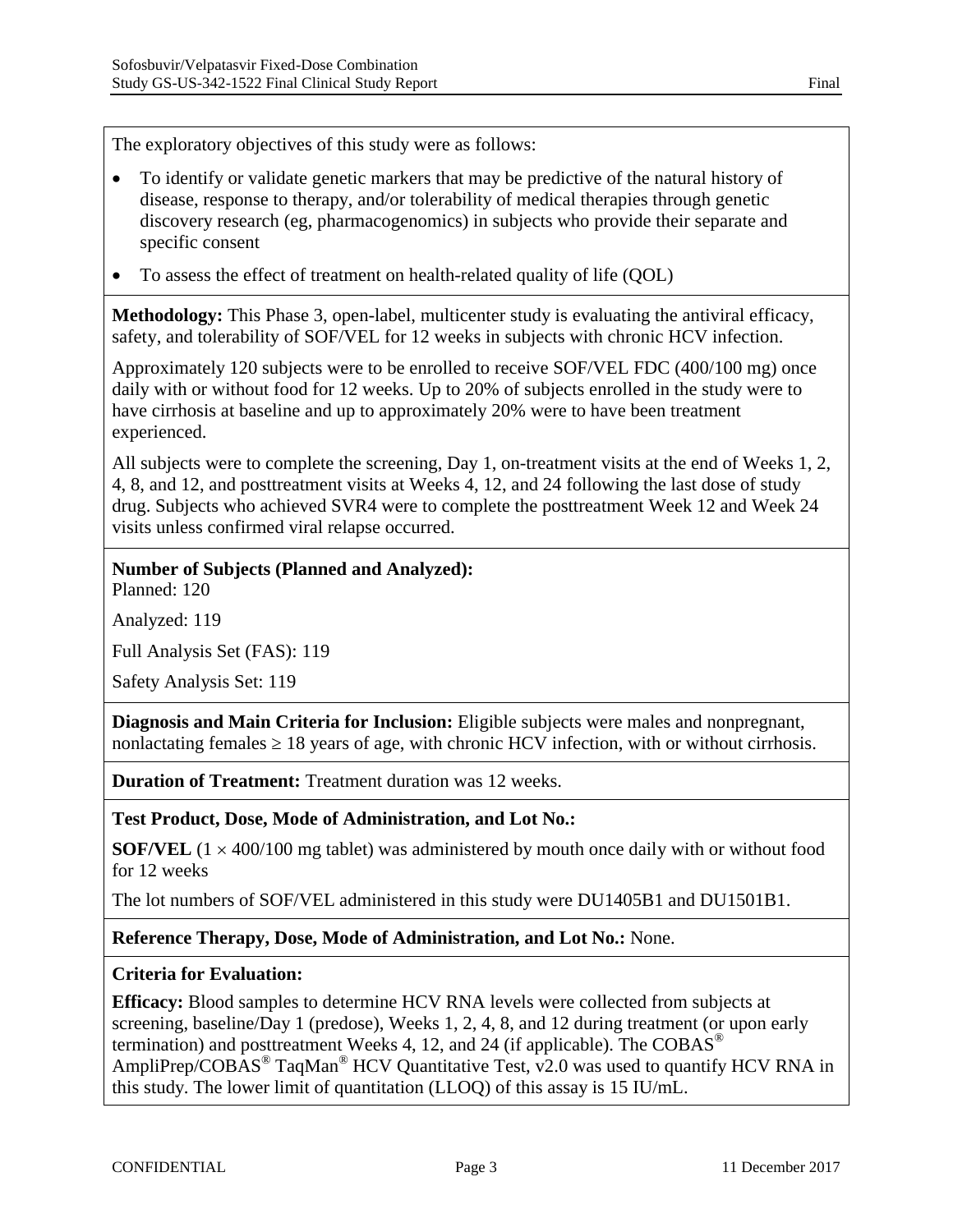The exploratory objectives of this study were as follows:

- To identify or validate genetic markers that may be predictive of the natural history of disease, response to therapy, and/or tolerability of medical therapies through genetic discovery research (eg, pharmacogenomics) in subjects who provide their separate and specific consent
- To assess the effect of treatment on health-related quality of life (QOL)

**Methodology:** This Phase 3, open-label, multicenter study is evaluating the antiviral efficacy, safety, and tolerability of SOF/VEL for 12 weeks in subjects with chronic HCV infection.

Approximately 120 subjects were to be enrolled to receive SOF/VEL FDC (400/100 mg) once daily with or without food for 12 weeks. Up to 20% of subjects enrolled in the study were to have cirrhosis at baseline and up to approximately 20% were to have been treatment experienced.

All subjects were to complete the screening, Day 1, on-treatment visits at the end of Weeks 1, 2, 4, 8, and 12, and posttreatment visits at Weeks 4, 12, and 24 following the last dose of study drug. Subjects who achieved SVR4 were to complete the posttreatment Week 12 and Week 24 visits unless confirmed viral relapse occurred.

### **Number of Subjects (Planned and Analyzed):**

Planned: 120

Analyzed: 119

Full Analysis Set (FAS): 119

Safety Analysis Set: 119

**Diagnosis and Main Criteria for Inclusion:** Eligible subjects were males and nonpregnant, nonlactating females 18 years of age, with chronic HCV infection, with or without cirrhosis.

**Duration of Treatment:** Treatment duration was 12 weeks.

#### **Test Product, Dose, Mode of Administration, and Lot No.:**

**SOF/VEL**  $(1 \times 400/100 \text{ mg }$  tablet) was administered by mouth once daily with or without food for 12 weeks

The lot numbers of SOF/VEL administered in this study were DU1405B1 and DU1501B1.

#### **Reference Therapy, Dose, Mode of Administration, and Lot No.:** None.

#### **Criteria for Evaluation:**

**Efficacy:** Blood samples to determine HCV RNA levels were collected from subjects at screening, baseline/Day 1 (predose), Weeks 1, 2, 4, 8, and 12 during treatment (or upon early termination) and posttreatment Weeks 4, 12, and 24 (if applicable). The  $COBAS^{\circledcirc}$ AmpliPrep/COBAS<sup>®</sup> TaqMan<sup>®</sup> HCV Quantitative Test, v2.0 was used to quantify HCV RNA in this study. The lower limit of quantitation (LLOQ) of this assay is 15 IU/mL.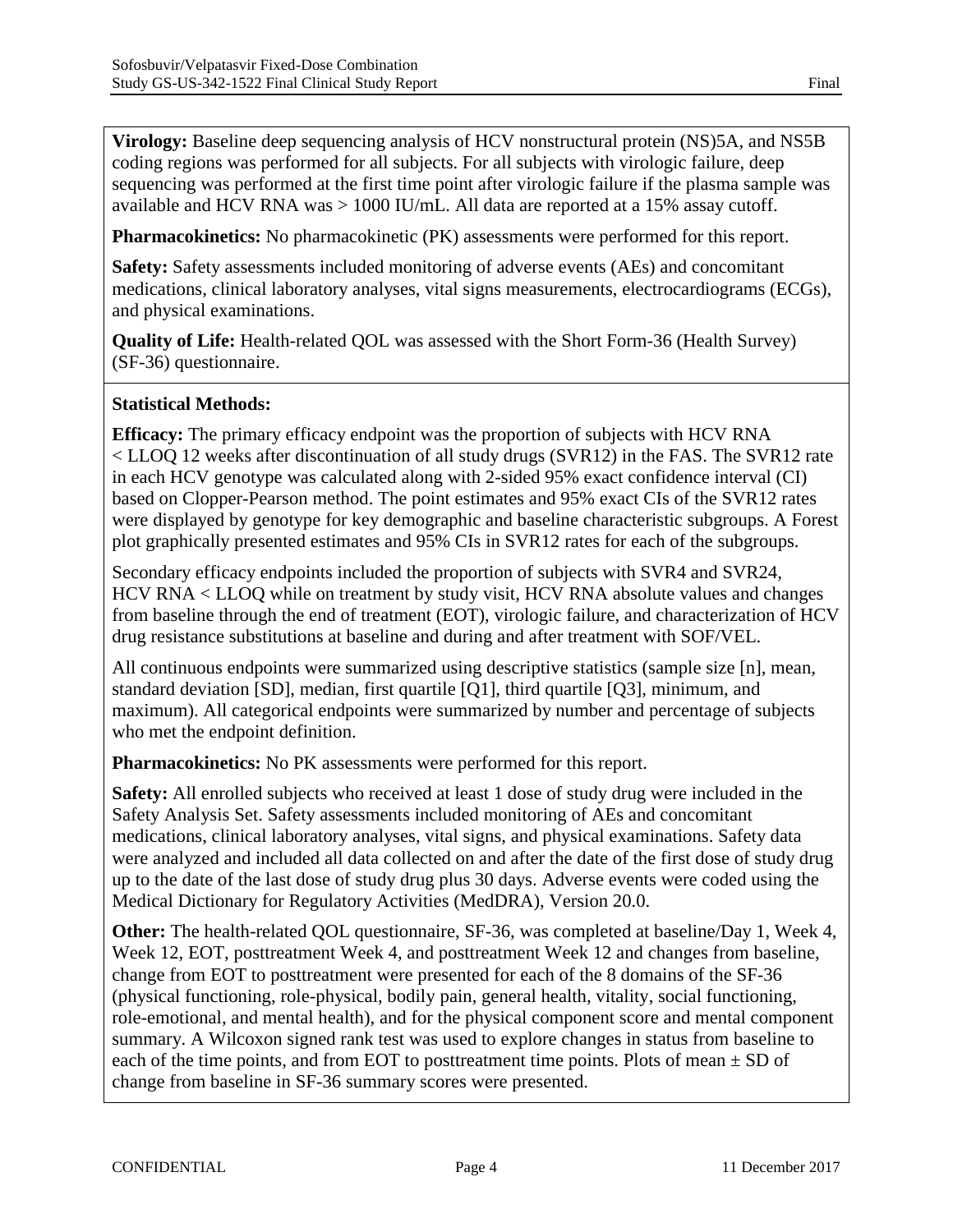**Virology:** Baseline deep sequencing analysis of HCV nonstructural protein (NS)5A, and NS5B coding regions was performed for all subjects. For all subjects with virologic failure, deep sequencing was performed at the first time point after virologic failure if the plasma sample was available and HCV RNA was > 1000 IU/mL. All data are reported at a 15% assay cutoff.

**Pharmacokinetics:** No pharmacokinetic (PK) assessments were performed for this report.

**Safety:** Safety assessments included monitoring of adverse events (AEs) and concomitant medications, clinical laboratory analyses, vital signs measurements, electrocardiograms (ECGs), and physical examinations.

**Quality of Life:** Health-related QOL was assessed with the Short Form-36 (Health Survey) (SF-36) questionnaire.

## **Statistical Methods:**

**Efficacy:** The primary efficacy endpoint was the proportion of subjects with HCV RNA < LLOQ 12 weeks after discontinuation of all study drugs (SVR12) in the FAS. The SVR12 rate in each HCV genotype was calculated along with 2-sided 95% exact confidence interval (CI) based on Clopper-Pearson method. The point estimates and 95% exact CIs of the SVR12 rates were displayed by genotype for key demographic and baseline characteristic subgroups. A Forest plot graphically presented estimates and 95% CIs in SVR12 rates for each of the subgroups.

Secondary efficacy endpoints included the proportion of subjects with SVR4 and SVR24, HCV RNA < LLOQ while on treatment by study visit, HCV RNA absolute values and changes from baseline through the end of treatment (EOT), virologic failure, and characterization of HCV drug resistance substitutions at baseline and during and after treatment with SOF/VEL.

All continuous endpoints were summarized using descriptive statistics (sample size [n], mean, standard deviation [SD], median, first quartile [Q1], third quartile [Q3], minimum, and maximum). All categorical endpoints were summarized by number and percentage of subjects who met the endpoint definition.

**Pharmacokinetics:** No PK assessments were performed for this report.

**Safety:** All enrolled subjects who received at least 1 dose of study drug were included in the Safety Analysis Set. Safety assessments included monitoring of AEs and concomitant medications, clinical laboratory analyses, vital signs, and physical examinations. Safety data were analyzed and included all data collected on and after the date of the first dose of study drug up to the date of the last dose of study drug plus 30 days. Adverse events were coded using the Medical Dictionary for Regulatory Activities (MedDRA), Version 20.0.

**Other:** The health-related QOL questionnaire, SF-36, was completed at baseline/Day 1, Week 4, Week 12, EOT, posttreatment Week 4, and posttreatment Week 12 and changes from baseline, change from EOT to posttreatment were presented for each of the 8 domains of the SF-36 (physical functioning, role-physical, bodily pain, general health, vitality, social functioning, role-emotional, and mental health), and for the physical component score and mental component summary. A Wilcoxon signed rank test was used to explore changes in status from baseline to each of the time points, and from EOT to posttreatment time points. Plots of mean  $\pm$  SD of change from baseline in SF-36 summary scores were presented.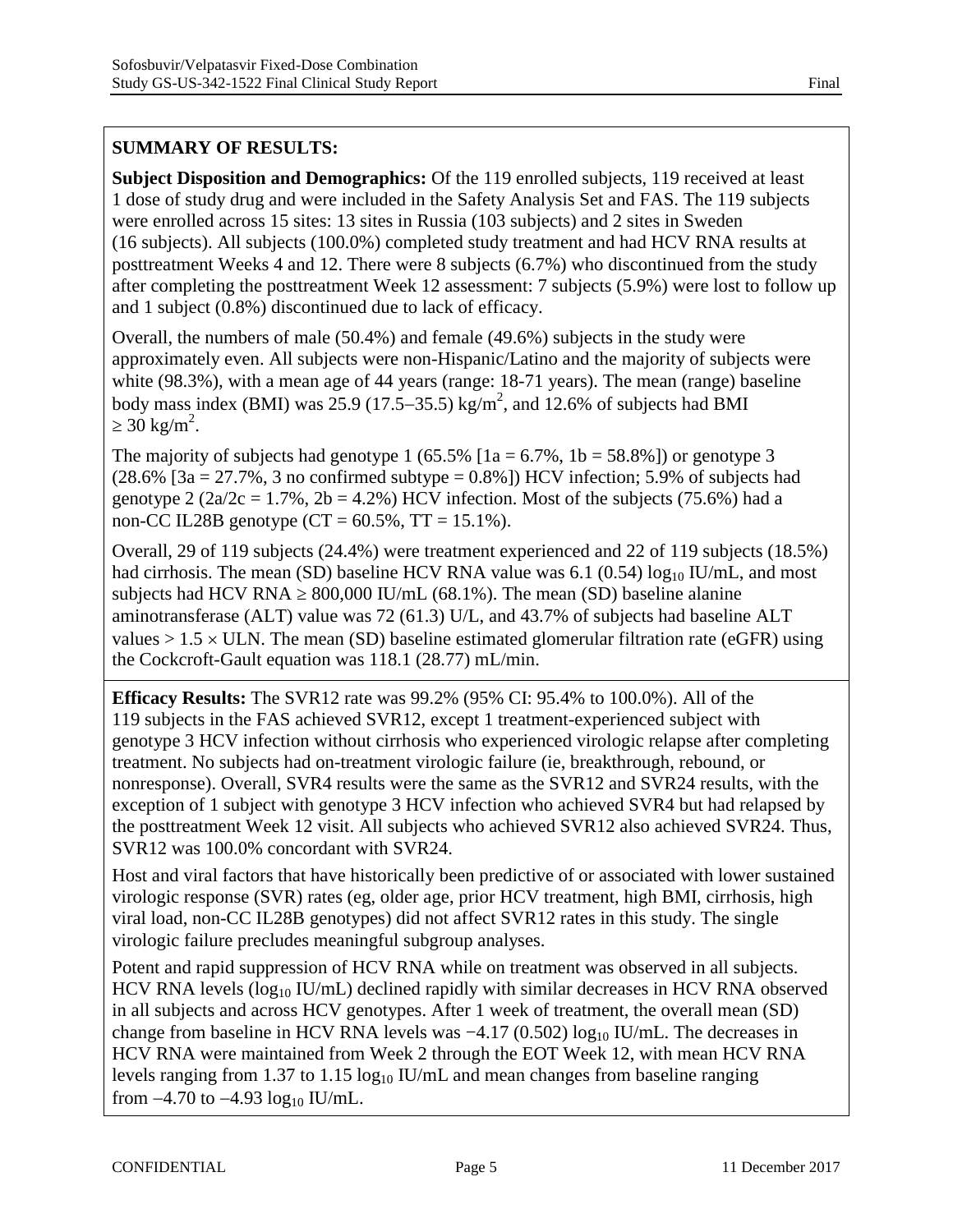## **SUMMARY OF RESULTS:**

**Subject Disposition and Demographics:** Of the 119 enrolled subjects, 119 received at least 1 dose of study drug and were included in the Safety Analysis Set and FAS. The 119 subjects were enrolled across 15 sites: 13 sites in Russia (103 subjects) and 2 sites in Sweden (16 subjects). All subjects (100.0%) completed study treatment and had HCV RNA results at posttreatment Weeks 4 and 12. There were 8 subjects (6.7%) who discontinued from the study after completing the posttreatment Week 12 assessment: 7 subjects (5.9%) were lost to follow up and 1 subject (0.8%) discontinued due to lack of efficacy.

Overall, the numbers of male (50.4%) and female (49.6%) subjects in the study were approximately even. All subjects were non-Hispanic/Latino and the majority of subjects were white (98.3%), with a mean age of 44 years (range: 18-71 years). The mean (range) baseline body mass index (BMI) was 25.9 (17.5–35.5) kg/m<sup>2</sup>, and 12.6% of subjects had BMI  $30 \text{ kg/m}^2$ .

The majority of subjects had genotype 1 (65.5%  $[1a = 6.7\%$ ,  $1b = 58.8\%]$ ) or genotype 3  $(28.6\%$  [3a = 27.7%, 3 no confirmed subtype = 0.8%]) HCV infection; 5.9% of subjects had genotype 2 ( $2a/2c = 1.7\%$ ,  $2b = 4.2\%$ ) HCV infection. Most of the subjects (75.6%) had a non-CC IL28B genotype  $(CT = 60.5\%, TT = 15.1\%).$ 

Overall, 29 of 119 subjects (24.4%) were treatment experienced and 22 of 119 subjects (18.5%) had cirrhosis. The mean (SD) baseline HCV RNA value was 6.1 (0.54)  $log_{10}$  IU/mL, and most subjects had HCV RNA  $\,$  800,000 IU/mL (68.1%). The mean (SD) baseline alanine aminotransferase (ALT) value was 72 (61.3) U/L, and 43.7% of subjects had baseline ALT values  $> 1.5 \times$  ULN. The mean (SD) baseline estimated glomerular filtration rate (eGFR) using the Cockcroft-Gault equation was 118.1 (28.77) mL/min.

**Efficacy Results:** The SVR12 rate was 99.2% (95% CI: 95.4% to 100.0%). All of the 119 subjects in the FAS achieved SVR12, except 1 treatment-experienced subject with genotype 3 HCV infection without cirrhosis who experienced virologic relapse after completing treatment. No subjects had on-treatment virologic failure (ie, breakthrough, rebound, or nonresponse). Overall, SVR4 results were the same as the SVR12 and SVR24 results, with the exception of 1 subject with genotype 3 HCV infection who achieved SVR4 but had relapsed by the posttreatment Week 12 visit. All subjects who achieved SVR12 also achieved SVR24. Thus, SVR12 was 100.0% concordant with SVR24.

Host and viral factors that have historically been predictive of or associated with lower sustained virologic response (SVR) rates (eg, older age, prior HCV treatment, high BMI, cirrhosis, high viral load, non-CC IL28B genotypes) did not affect SVR12 rates in this study. The single virologic failure precludes meaningful subgroup analyses.

Potent and rapid suppression of HCV RNA while on treatment was observed in all subjects. HCV RNA levels ( $log_{10}$  IU/mL) declined rapidly with similar decreases in HCV RNA observed in all subjects and across HCV genotypes. After 1 week of treatment, the overall mean (SD) change from baseline in HCV RNA levels was  $-4.17$  (0.502) log<sub>10</sub> IU/mL. The decreases in HCV RNA were maintained from Week 2 through the EOT Week 12, with mean HCV RNA levels ranging from 1.37 to 1.15  $log_{10}$  IU/mL and mean changes from baseline ranging from  $-4.70$  to  $-4.93 \log_{10}$  IU/mL.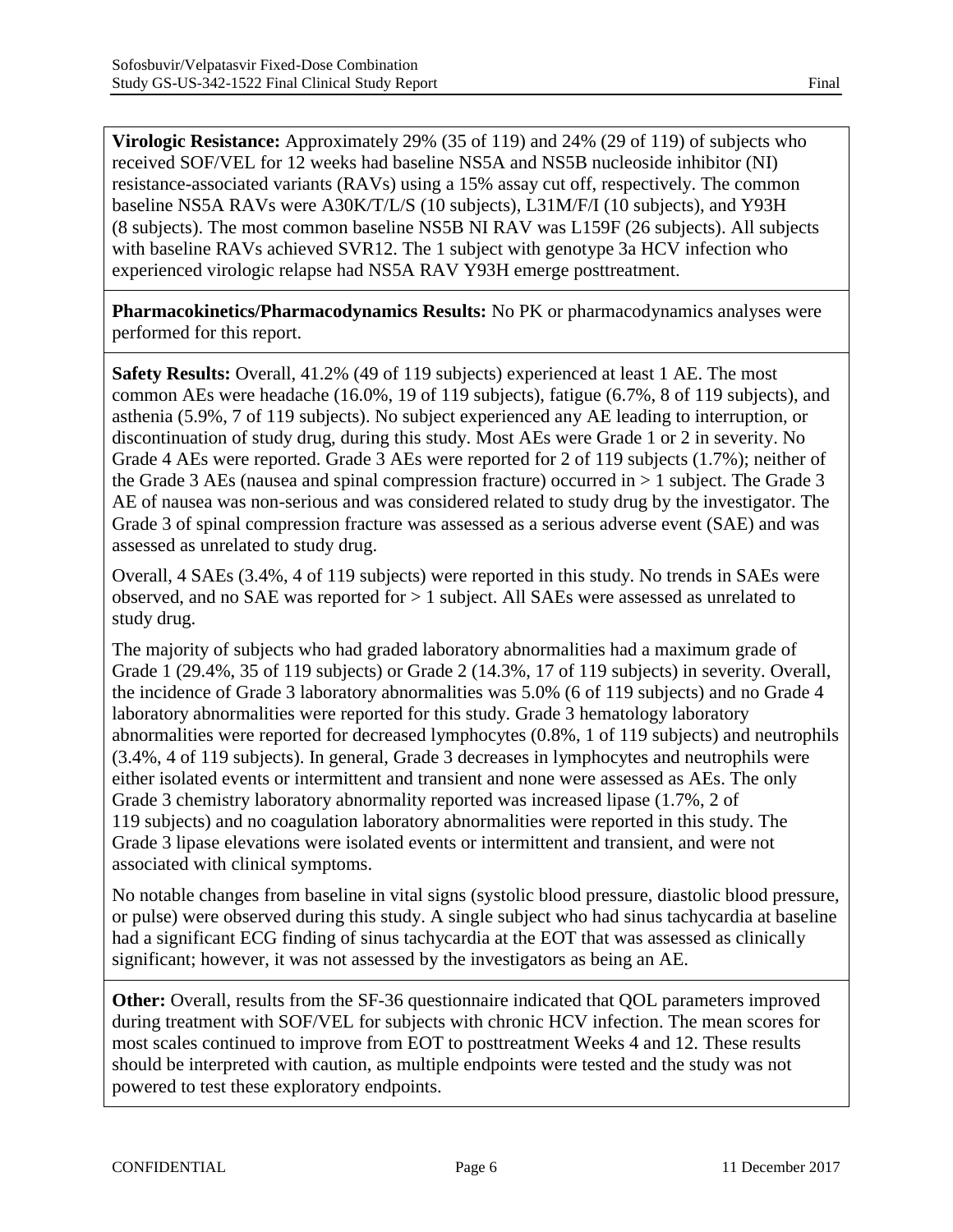**Virologic Resistance:** Approximately 29% (35 of 119) and 24% (29 of 119) of subjects who received SOF/VEL for 12 weeks had baseline NS5A and NS5B nucleoside inhibitor (NI) resistance-associated variants (RAVs) using a 15% assay cut off, respectively. The common baseline NS5A RAVs were A30K/T/L/S (10 subjects), L31M/F/I (10 subjects), and Y93H (8 subjects). The most common baseline NS5B NI RAV was L159F (26 subjects). All subjects with baseline RAVs achieved SVR12. The 1 subject with genotype 3a HCV infection who experienced virologic relapse had NS5A RAV Y93H emerge posttreatment.

**Pharmacokinetics/Pharmacodynamics Results:** No PK or pharmacodynamics analyses were performed for this report.

**Safety Results:** Overall, 41.2% (49 of 119 subjects) experienced at least 1 AE. The most common AEs were headache (16.0%, 19 of 119 subjects), fatigue (6.7%, 8 of 119 subjects), and asthenia (5.9%, 7 of 119 subjects). No subject experienced any AE leading to interruption, or discontinuation of study drug, during this study. Most AEs were Grade 1 or 2 in severity. No Grade 4 AEs were reported. Grade 3 AEs were reported for 2 of 119 subjects (1.7%); neither of the Grade 3 AEs (nausea and spinal compression fracture) occurred in  $> 1$  subject. The Grade 3 AE of nausea was non-serious and was considered related to study drug by the investigator. The Grade 3 of spinal compression fracture was assessed as a serious adverse event (SAE) and was assessed as unrelated to study drug.

Overall, 4 SAEs (3.4%, 4 of 119 subjects) were reported in this study. No trends in SAEs were observed, and no SAE was reported for > 1 subject. All SAEs were assessed as unrelated to study drug.

The majority of subjects who had graded laboratory abnormalities had a maximum grade of Grade 1 (29.4%, 35 of 119 subjects) or Grade 2 (14.3%, 17 of 119 subjects) in severity. Overall, the incidence of Grade 3 laboratory abnormalities was 5.0% (6 of 119 subjects) and no Grade 4 laboratory abnormalities were reported for this study. Grade 3 hematology laboratory abnormalities were reported for decreased lymphocytes (0.8%, 1 of 119 subjects) and neutrophils (3.4%, 4 of 119 subjects). In general, Grade 3 decreases in lymphocytes and neutrophils were either isolated events or intermittent and transient and none were assessed as AEs. The only Grade 3 chemistry laboratory abnormality reported was increased lipase (1.7%, 2 of 119 subjects) and no coagulation laboratory abnormalities were reported in this study. The Grade 3 lipase elevations were isolated events or intermittent and transient, and were not associated with clinical symptoms.

No notable changes from baseline in vital signs (systolic blood pressure, diastolic blood pressure, or pulse) were observed during this study. A single subject who had sinus tachycardia at baseline had a significant ECG finding of sinus tachycardia at the EOT that was assessed as clinically significant; however, it was not assessed by the investigators as being an AE.

**Other:** Overall, results from the SF-36 questionnaire indicated that QOL parameters improved during treatment with SOF/VEL for subjects with chronic HCV infection. The mean scores for most scales continued to improve from EOT to posttreatment Weeks 4 and 12. These results should be interpreted with caution, as multiple endpoints were tested and the study was not powered to test these exploratory endpoints.